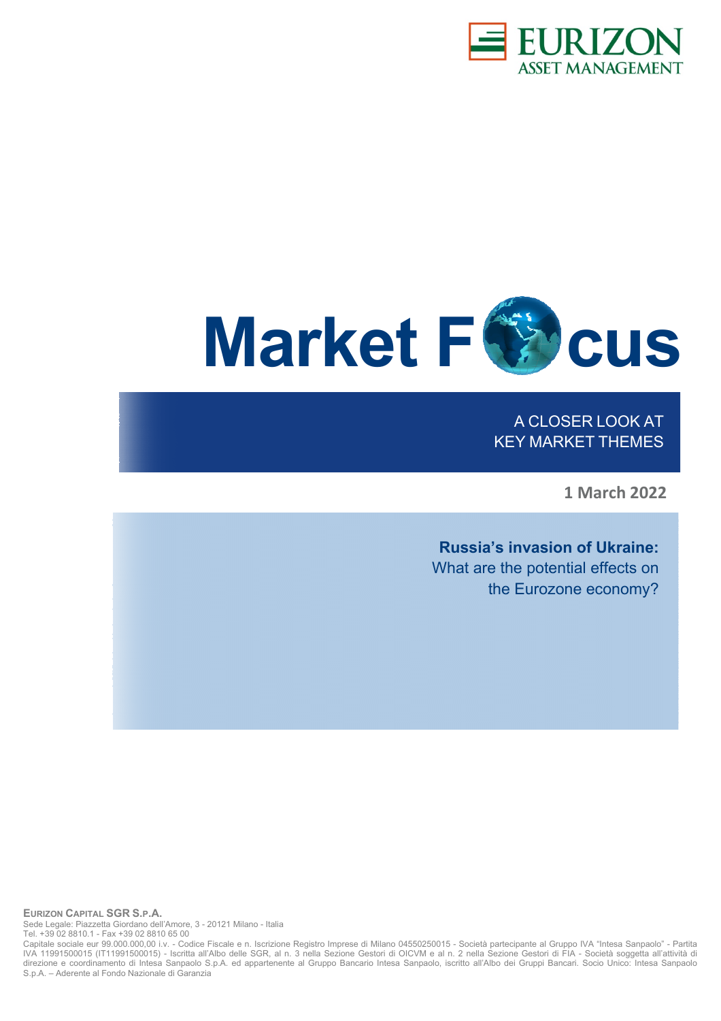



A CLOSER LOOK AT KEY MARKET THEMES

**1 March 2022** 

**Russia's invasion of Ukraine:** What are the potential effects on the Eurozone economy?

**EURIZON CAPITAL SGR S.P.A.**  Sede Legale: Piazzetta Giordano dell'Amore, 3 - 20121 Milano - Italia Tel. +39 02 8810.1 - Fax +39 02 8810 65 00

Capitale sociale eur 99.000.000,00 i.v. - Codice Fiscale e n. Iscrizione Registro Imprese di Milano 04550250015 - Società partecipante al Gruppo IVA "Intesa Sanpaolo" - Partita IVA 11991500015 (IT11991500015) - Iscritta all'Albo delle SGR, al n. 3 nella Sezione Gestori di OICVM e al n. 2 nella Sezione Gestori di FIA - Società soggetta all'attività di direzione e coordinamento di Intesa Sanpaolo S.p.A. ed appartenente al Gruppo Bancario Intesa Sanpaolo, iscritto all'Albo dei Gruppi Bancari. Socio Unico: Intesa Sanpaolo S.p.A. – Aderente al Fondo Nazionale di Garanzia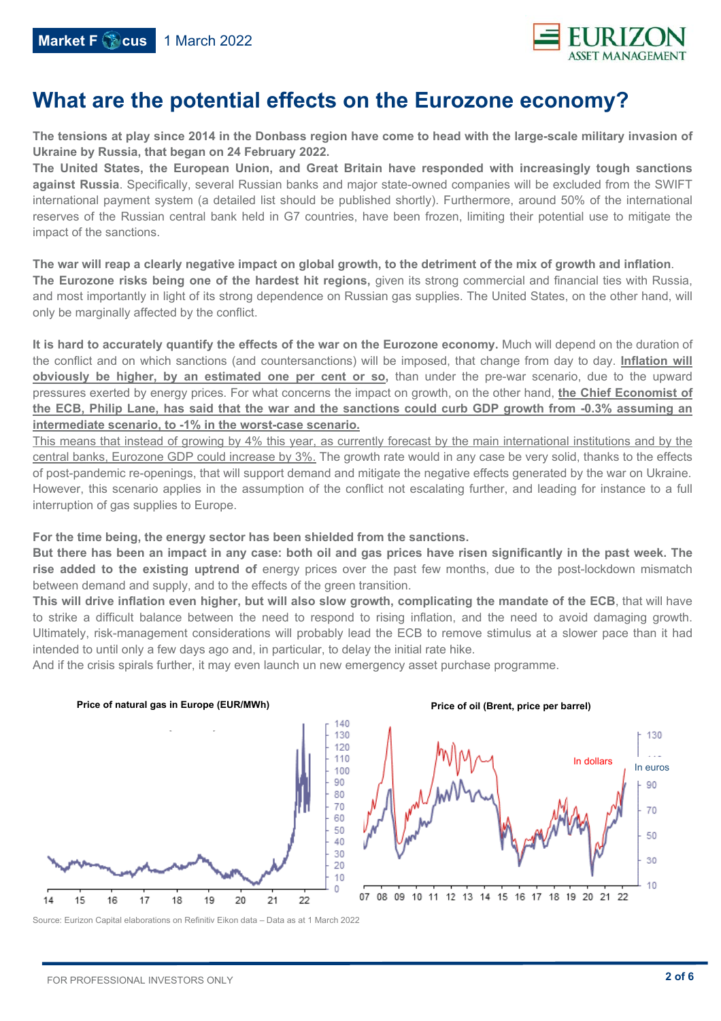

# **What are the potential effects on the Eurozone economy?**

**The tensions at play since 2014 in the Donbass region have come to head with the large-scale military invasion of Ukraine by Russia, that began on 24 February 2022.** 

**The United States, the European Union, and Great Britain have responded with increasingly tough sanctions against Russia**. Specifically, several Russian banks and major state-owned companies will be excluded from the SWIFT international payment system (a detailed list should be published shortly). Furthermore, around 50% of the international reserves of the Russian central bank held in G7 countries, have been frozen, limiting their potential use to mitigate the impact of the sanctions.

**The war will reap a clearly negative impact on global growth, to the detriment of the mix of growth and inflation**. **The Eurozone risks being one of the hardest hit regions,** given its strong commercial and financial ties with Russia, and most importantly in light of its strong dependence on Russian gas supplies. The United States, on the other hand, will only be marginally affected by the conflict.

**It is hard to accurately quantify the effects of the war on the Eurozone economy.** Much will depend on the duration of the conflict and on which sanctions (and countersanctions) will be imposed, that change from day to day. **Inflation will obviously be higher, by an estimated one per cent or so,** than under the pre-war scenario, due to the upward pressures exerted by energy prices. For what concerns the impact on growth, on the other hand, **the Chief Economist of the ECB, Philip Lane, has said that the war and the sanctions could curb GDP growth from -0.3% assuming an intermediate scenario, to -1% in the worst-case scenario.** 

This means that instead of growing by 4% this year, as currently forecast by the main international institutions and by the central banks, Eurozone GDP could increase by 3%. The growth rate would in any case be very solid, thanks to the effects of post-pandemic re-openings, that will support demand and mitigate the negative effects generated by the war on Ukraine. However, this scenario applies in the assumption of the conflict not escalating further, and leading for instance to a full interruption of gas supplies to Europe.

#### **For the time being, the energy sector has been shielded from the sanctions.**

**But there has been an impact in any case: both oil and gas prices have risen significantly in the past week. The rise added to the existing uptrend of** energy prices over the past few months, due to the post-lockdown mismatch between demand and supply, and to the effects of the green transition.

**This will drive inflation even higher, but will also slow growth, complicating the mandate of the ECB**, that will have to strike a difficult balance between the need to respond to rising inflation, and the need to avoid damaging growth. Ultimately, risk-management considerations will probably lead the ECB to remove stimulus at a slower pace than it had intended to until only a few days ago and, in particular, to delay the initial rate hike.

And if the crisis spirals further, it may even launch un new emergency asset purchase programme.



Source: Eurizon Capital elaborations on Refinitiv Eikon data – Data as at 1 March 2022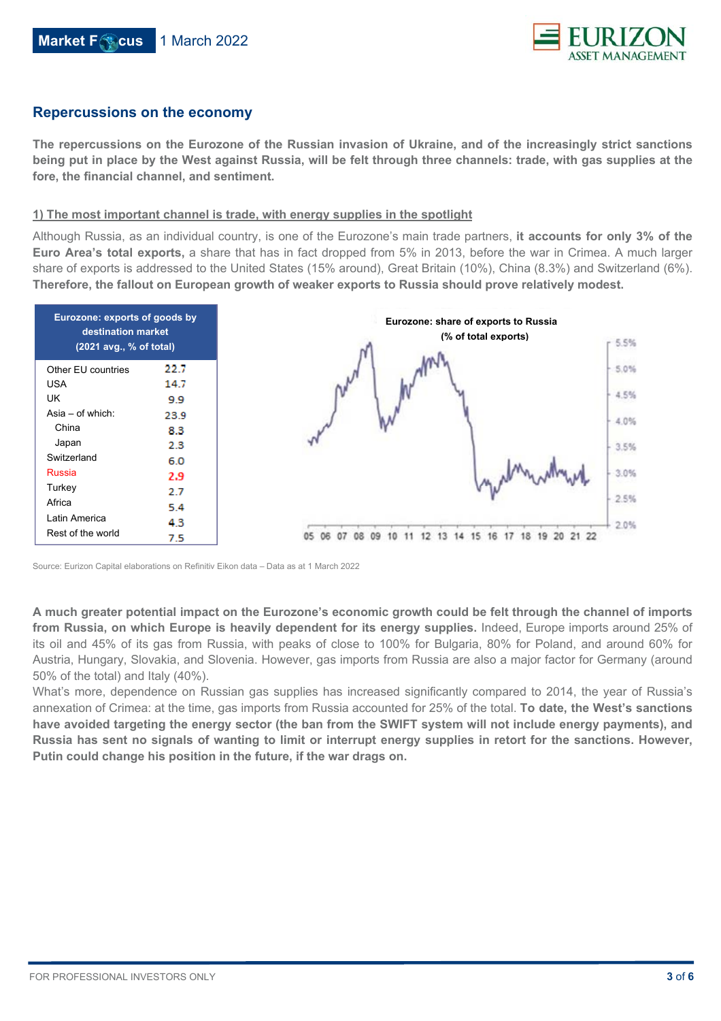

### **Repercussions on the economy**

**The repercussions on the Eurozone of the Russian invasion of Ukraine, and of the increasingly strict sanctions being put in place by the West against Russia, will be felt through three channels: trade, with gas supplies at the fore, the financial channel, and sentiment.**

#### **1) The most important channel is trade, with energy supplies in the spotlight**

Although Russia, as an individual country, is one of the Eurozone's main trade partners, **it accounts for only 3% of the Euro Area's total exports,** a share that has in fact dropped from 5% in 2013, before the war in Crimea. A much larger share of exports is addressed to the United States (15% around), Great Britain (10%), China (8.3%) and Switzerland (6%). **Therefore, the fallout on European growth of weaker exports to Russia should prove relatively modest.**



Source: Eurizon Capital elaborations on Refinitiv Eikon data – Data as at 1 March 2022

**A much greater potential impact on the Eurozone's economic growth could be felt through the channel of imports from Russia, on which Europe is heavily dependent for its energy supplies.** Indeed, Europe imports around 25% of its oil and 45% of its gas from Russia, with peaks of close to 100% for Bulgaria, 80% for Poland, and around 60% for Austria, Hungary, Slovakia, and Slovenia. However, gas imports from Russia are also a major factor for Germany (around 50% of the total) and Italy (40%).

What's more, dependence on Russian gas supplies has increased significantly compared to 2014, the year of Russia's annexation of Crimea: at the time, gas imports from Russia accounted for 25% of the total. **To date, the West's sanctions have avoided targeting the energy sector (the ban from the SWIFT system will not include energy payments), and Russia has sent no signals of wanting to limit or interrupt energy supplies in retort for the sanctions. However, Putin could change his position in the future, if the war drags on.**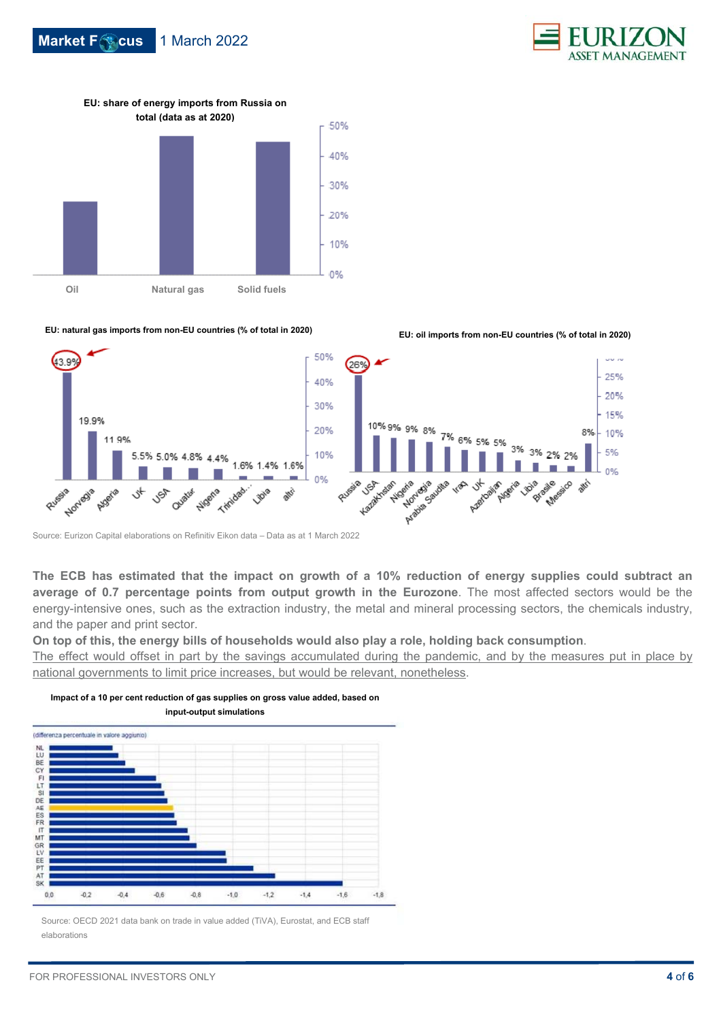





**EU: share of energy imports from Russia on** 

**EU: natural gas imports from non-EU countries (% of total in 2020) EU: oil imports from non-EU countries (% of total in 2020)**



Source: Eurizon Capital elaborations on Refinitiv Eikon data – Data as at 1 March 2022

**The ECB has estimated that the impact on growth of a 10% reduction of energy supplies could subtract an average of 0.7 percentage points from output growth in the Eurozone**. The most affected sectors would be the energy-intensive ones, such as the extraction industry, the metal and mineral processing sectors, the chemicals industry, and the paper and print sector.

**On top of this, the energy bills of households would also play a role, holding back consumption**.

The effect would offset in part by the savings accumulated during the pandemic, and by the measures put in place by national governments to limit price increases, but would be relevant, nonetheless.

(differenza percentuale in valore aggiunio) MLD BECK FLTS DE AESSER IT MEGEN ELE PT AT SK  $0,0$  $-0.2$  $-0.4$  $-0.6$  $-0.8$  $-1.0$  $-1.2$  $-1.4$  $-1.8$  $-1.6$ 

**Impact of a 10 per cent reduction of gas supplies on gross value added, based on input-output simulations** 

Source: OECD 2021 data bank on trade in value added (TiVA), Eurostat, and ECB staff elaborations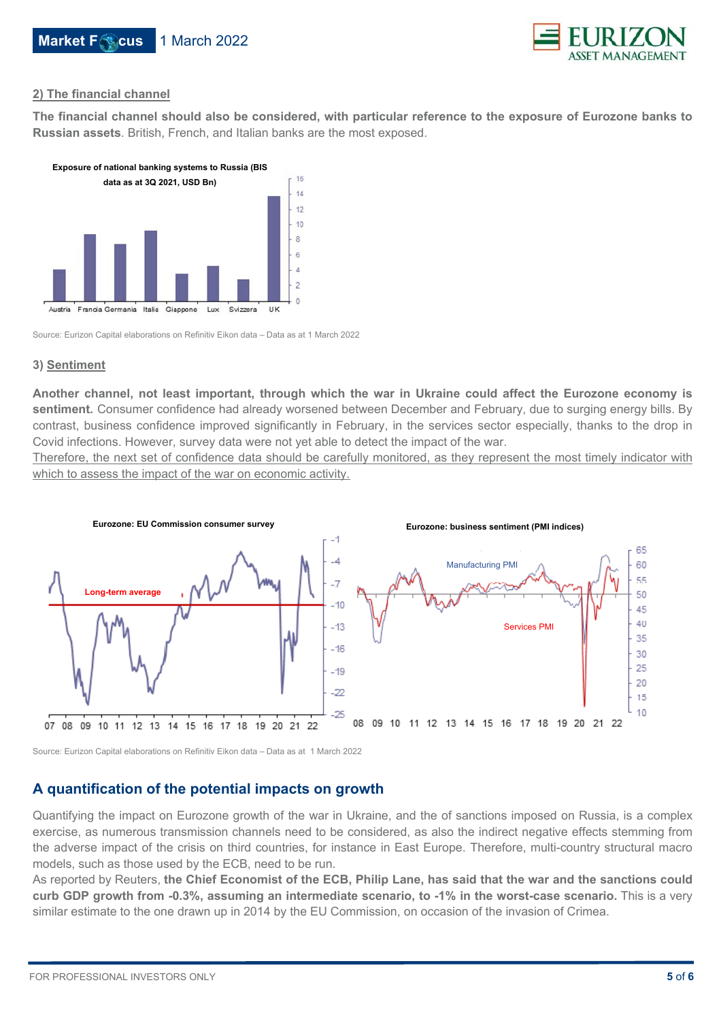

#### **2) The financial channel**

**The financial channel should also be considered, with particular reference to the exposure of Eurozone banks to Russian assets**. British, French, and Italian banks are the most exposed.



Source: Eurizon Capital elaborations on Refinitiv Eikon data – Data as at 1 March 2022

#### **3) Sentiment**

**Another channel, not least important, through which the war in Ukraine could affect the Eurozone economy is sentiment.** Consumer confidence had already worsened between December and February, due to surging energy bills. By contrast, business confidence improved significantly in February, in the services sector especially, thanks to the drop in Covid infections. However, survey data were not yet able to detect the impact of the war.

Therefore, the next set of confidence data should be carefully monitored, as they represent the most timely indicator with which to assess the impact of the war on economic activity.



Source: Eurizon Capital elaborations on Refinitiv Eikon data – Data as at 1 March 2022

## **A quantification of the potential impacts on growth**

Quantifying the impact on Eurozone growth of the war in Ukraine, and the of sanctions imposed on Russia, is a complex exercise, as numerous transmission channels need to be considered, as also the indirect negative effects stemming from the adverse impact of the crisis on third countries, for instance in East Europe. Therefore, multi-country structural macro models, such as those used by the ECB, need to be run.

As reported by Reuters, **the Chief Economist of the ECB, Philip Lane, has said that the war and the sanctions could curb GDP growth from -0.3%, assuming an intermediate scenario, to -1% in the worst-case scenario.** This is a very similar estimate to the one drawn up in 2014 by the EU Commission, on occasion of the invasion of Crimea.